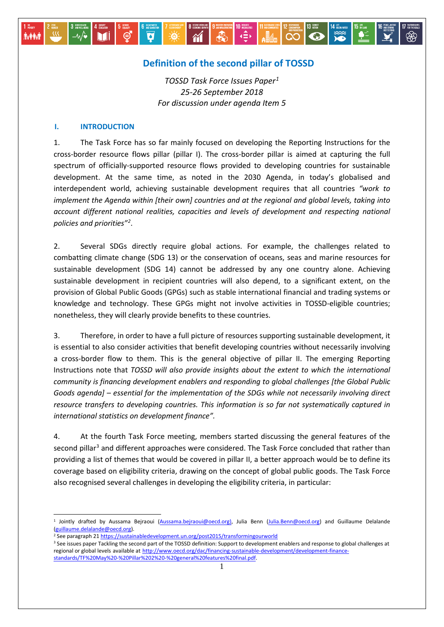# **Definition of the second pillar of TOSSD**

 $\begin{array}{c}\n\bullet \\
\leftarrow \\
\bullet\n\end{array}$ 

 $\overline{\mathbf{H}}$ 

 $\overline{\mathbf{e}}$ 

 $\frac{1}{100}$ 

ြီလ

*TOSSD Task Force Issues Paper[1](#page-0-0) 25-26 September 2018 For discussion under agenda Item 5*

 $\gamma$ 

Ø

⊜

#### **I. INTRODUCTION**

M

**İvêri** 

1. The Task Force has so far mainly focused on developing the Reporting Instructions for the cross-border resource flows pillar (pillar I). The cross-border pillar is aimed at capturing the full spectrum of officially-supported resource flows provided to developing countries for sustainable development. At the same time, as noted in the 2030 Agenda, in today's globalised and interdependent world, achieving sustainable development requires that all countries *"work to implement the Agenda within [their own] countries and at the regional and global levels, taking into account different national realities, capacities and levels of development and respecting national policies and priorities"[2](#page-0-1)* .

2. Several SDGs directly require global actions. For example, the challenges related to combatting climate change (SDG 13) or the conservation of oceans, seas and marine resources for sustainable development (SDG 14) cannot be addressed by any one country alone. Achieving sustainable development in recipient countries will also depend, to a significant extent, on the provision of Global Public Goods (GPGs) such as stable international financial and trading systems or knowledge and technology. These GPGs might not involve activities in TOSSD-eligible countries; nonetheless, they will clearly provide benefits to these countries.

3. Therefore, in order to have a full picture of resources supporting sustainable development, it is essential to also consider activities that benefit developing countries without necessarily involving a cross-border flow to them. This is the general objective of pillar II. The emerging Reporting Instructions note that *TOSSD will also provide insights about the extent to which the international community is financing development enablers and responding to global challenges [the Global Public Goods agenda] – essential for the implementation of the SDGs while not necessarily involving direct resource transfers to developing countries. This information is so far not systematically captured in international statistics on development finance".* 

4. At the fourth Task Force meeting, members started discussing the general features of the second pillar<sup>3</sup> and different approaches were considered. The Task Force concluded that rather than providing a list of themes that would be covered in pillar II, a better approach would be to define its coverage based on eligibility criteria, drawing on the concept of global public goods. The Task Force also recognised several challenges in developing the eligibility criteria, in particular:

<u>.</u>

<span id="page-0-0"></span><sup>&</sup>lt;sup>1</sup> Jointly drafted by Aussama Bejraoui [\(Aussama.bejraoui@oecd.org\),](mailto:Aussama.bejraoui@oecd.org)) Julia Benn [\(Julia.Benn@oecd.org\)](mailto:Julia.Benn@oecd.org) and Guillaume Delalande [\(guillaume.delalande@oecd.org\)](mailto:guillaume.delalande@oecd.org).

<span id="page-0-1"></span><sup>2</sup> See paragraph 2[1 https://sustainabledevelopment.un.org/post2015/transformingourworld](https://sustainabledevelopment.un.org/post2015/transformingourworld)

<span id="page-0-2"></span><sup>&</sup>lt;sup>3</sup> See issues paper Tackling the second part of the TOSSD definition: Support to development enablers and response to global challenges at regional or global levels available at [http://www.oecd.org/dac/financing-sustainable-development/development-finance](http://www.oecd.org/dac/financing-sustainable-development/development-finance-standards/TF%20May%20-%20Pillar%202%20-%20general%20features%20final.pdf)[standards/TF%20May%20-%20Pillar%202%20-%20general%20features%20final.pdf.](http://www.oecd.org/dac/financing-sustainable-development/development-finance-standards/TF%20May%20-%20Pillar%202%20-%20general%20features%20final.pdf)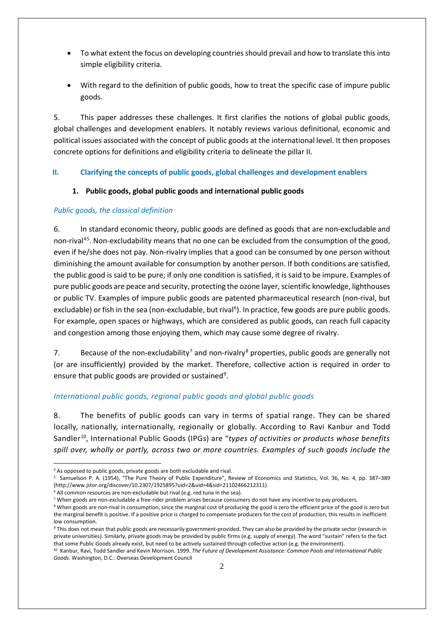- To what extent the focus on developing countries should prevail and how to translate this into simple eligibility criteria.
- With regard to the definition of public goods, how to treat the specific case of impure public goods.

5. This paper addresses these challenges. It first clarifies the notions of global public goods, global challenges and development enablers. It notably reviews various definitional, economic and political issues associated with the concept of public goods at the international level. It then proposes concrete options for definitions and eligibility criteria to delineate the pillar II.

## **II. Clarifying the concepts of public goods, global challenges and development enablers**

## **1. Public goods, global public goods and international public goods**

## *Public goods, the classical definition*

6. In standard economic theory, public goods are defined as goods that are non-excludable and non-rival<sup>[4](#page-1-0)[5](#page-1-1)</sup>. Non-excludability means that no one can be excluded from the consumption of the good, even if he/she does not pay. Non-rivalry implies that a good can be consumed by one person without diminishing the amount available for consumption by another person. If both conditions are satisfied, the public good is said to be pure; if only one condition is satisfied, it is said to be impure. Examples of pure public goods are peace and security, protecting the ozone layer, scientific knowledge, lighthouses or public TV. Examples of impure public goods are patented pharmaceutical research (non-rival, but excludable) or fish in the sea (non-excludable, but rival<sup>[6](#page-1-2)</sup>). In practice, few goods are pure public goods. For example, open spaces or highways, which are considered as public goods, can reach full capacity and congestion among those enjoying them, which may cause some degree of rivalry.

[7](#page-1-3). Because of the non-excludability<sup>7</sup> and non-rivalry<sup>[8](#page-1-4)</sup> properties, public goods are generally not (or are insufficiently) provided by the market. Therefore, collective action is required in order to ensure that public goods are provided or sustained<sup>[9](#page-1-5)</sup>.

## *International public goods, regional public goods and global public goods*

8. The benefits of public goods can vary in terms of spatial range. They can be shared locally, nationally, internationally, regionally or globally. According to Ravi Kanbur and Todd Sandler<sup>10</sup>, International Public Goods (IPGs) are "types of activities or products whose benefits *spill over, wholly or partly, across two or more countries. Examples of such goods include the* 

<sup>-</sup><sup>4</sup> As opposed to public goods, private goods are both excludable and rival.

<span id="page-1-1"></span><span id="page-1-0"></span><sup>5</sup> Samuelson P. A. (1954), "The Pure Theory of Public Expenditure", Review of Economics and Statistics, Vol. 36, No. 4, pp. 387–389 (http://www.jstor.org/discover/10.2307/1925895?uid=2&uid=4&sid=21102466212311)

<sup>&</sup>lt;sup>6</sup> All common resources are non-excludable but rival (e.g. red tuna in the sea).

<span id="page-1-3"></span><span id="page-1-2"></span><sup>&</sup>lt;sup>7</sup> When goods are non-excludable a free-rider problem arises because consumers do not have any incentive to pay producers.

<span id="page-1-4"></span><sup>&</sup>lt;sup>8</sup> When goods are non-rival in consumption, since the marginal cost of producing the good is zero the efficient price of the good is zero but the marginal benefit is positive. If a positive price is charged to compensate producers for the cost of production, this results in inefficient low consumption.

<span id="page-1-5"></span><sup>&</sup>lt;sup>9</sup> This does not mean that public goods are necessarily government-provided. They can also be provided by the private sector (research in private universities). Similarly, private goods may be provided by public firms (e.g. supply of energy). The word "sustain" refers to the fact that some Public Goods already exist, but need to be actively sustained through collective action (e.g. the environment).

<span id="page-1-6"></span><sup>10</sup> Kanbur, Ravi, Todd Sandler and Kevin Morrison. 1999. *The Future of Development Assistance: Common Pools and International Public Goods.* Washington, D.C.: Overseas Development Council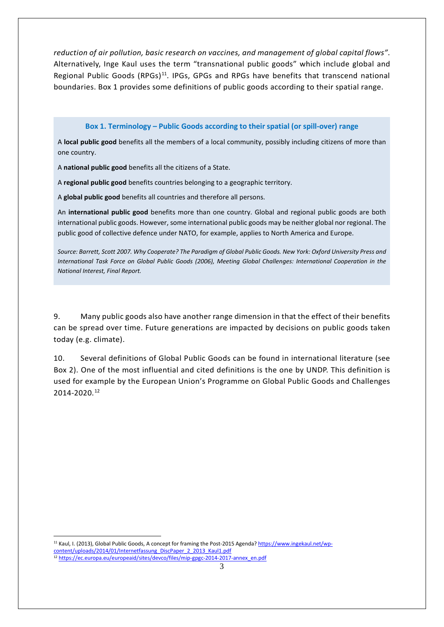*reduction of air pollution, basic research on vaccines, and management of global capital flows"*. Alternatively, Inge Kaul uses the term "transnational public goods" which include global and Regional Public Goods (RPGs)[11.](#page-2-0) IPGs, GPGs and RPGs have benefits that transcend national boundaries. Box 1 provides some definitions of public goods according to their spatial range.

#### **Box 1. Terminology – Public Goods according to their spatial (or spill-over) range**

A **local public good** benefits all the members of a local community, possibly including citizens of more than one country.

A **national public good** benefits all the citizens of a State.

A **regional public good** benefits countries belonging to a geographic territory.

A **global public good** benefits all countries and therefore all persons.

An **international public good** benefits more than one country. Global and regional public goods are both international public goods. However, some international public goods may be neither global nor regional. The public good of collective defence under NATO, for example, applies to North America and Europe.

*Source: Barrett, Scott 2007. Why Cooperate? The Paradigm of Global Public Goods. New York: Oxford University Press and International Task Force on Global Public Goods (2006), Meeting Global Challenges: International Cooperation in the National Interest, Final Report.*

9. Many public goods also have another range dimension in that the effect of their benefits can be spread over time. Future generations are impacted by decisions on public goods taken today (e.g. climate).

10. Several definitions of Global Public Goods can be found in international literature (see Box 2). One of the most influential and cited definitions is the one by UNDP. This definition is used for example by the European Union's Programme on Global Public Goods and Challenges 2014-2020. [12](#page-2-1)

<span id="page-2-1"></span><span id="page-2-0"></span><u>.</u> <sup>11</sup> Kaul, I. (2013), Global Public Goods, A concept for framing the Post-2015 Agenda? [https://www.ingekaul.net/wp](https://www.ingekaul.net/wp-content/uploads/2014/01/Internetfassung_DiscPaper_2_2013_Kaul1.pdf)[content/uploads/2014/01/Internetfassung\\_DiscPaper\\_2\\_2013\\_Kaul1.pdf](https://www.ingekaul.net/wp-content/uploads/2014/01/Internetfassung_DiscPaper_2_2013_Kaul1.pdf) <sup>12</sup> [https://ec.europa.eu/europeaid/sites/devco/files/mip-gpgc-2014-2017-annex\\_en.pdf](https://ec.europa.eu/europeaid/sites/devco/files/mip-gpgc-2014-2017-annex_en.pdf)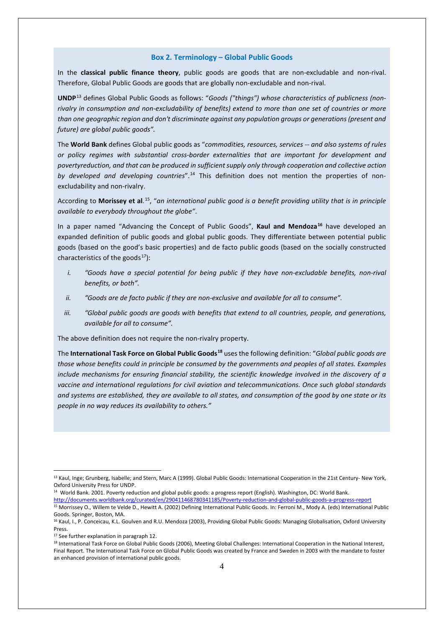#### **Box 2. Terminology – Global Public Goods**

In the **classical public finance theory**, public goods are goods that are non-excludable and non-rival. Therefore, Global Public Goods are goods that are globally non-excludable and non-rival.

**UNDP**[13](#page-3-0) defines Global Public Goods as follows: "*Goods ("things") whose characteristics of publicness (nonrivalry in consumption and non-excludability of benefits) extend to more than one set of countries or more than one geographic region and don't discriminate against any population groups or generations (present and future) are global public goods".*

The **World Bank** defines Global public goods as "*commodities, resources, services -- and also systems of rules or policy regimes with substantial cross-border externalities that are important for development and povertyreduction, and that can be produced in sufficient supply only through cooperation and collective action by developed and developing countries*". [14](#page-3-1) This definition does not mention the properties of nonexcludability and non-rivalry.

According to **Morissey et al**. [15,](#page-3-2) "*an international public good is a benefit providing utility that is in principle available to everybody throughout the globe"*.

In a paper named "Advancing the Concept of Public Goods", **Kaul and Mendoza[16](#page-3-3)** have developed an expanded definition of public goods and global public goods. They differentiate between potential public goods (based on the good's basic properties) and de facto public goods (based on the socially constructed characteristics of the goods $17$ ):

- *i. "Goods have a special potential for being public if they have non-excludable benefits, non-rival benefits, or both".*
- *ii. "Goods are de facto public if they are non-exclusive and available for all to consume".*
- *iii. "Global public goods are goods with benefits that extend to all countries, people, and generations, available for all to consume".*

The above definition does not require the non-rivalry property.

The **International Task Force on Global Public Goods[18](#page-3-5)** uses the following definition: "*Global public goods are those whose benefits could in principle be consumed by the governments and peoples of all states. Examples include mechanisms for ensuring financial stability, the scientific knowledge involved in the discovery of a vaccine and international regulations for civil aviation and telecommunications. Once such global standards and systems are established, they are available to all states, and consumption of the good by one state or its people in no way reduces its availability to others."*

<span id="page-3-1"></span>14 World Bank. 2001. Poverty reduction and global public goods: a progress report (English). Washington, DC: World Bank.

<span id="page-3-2"></span><http://documents.worldbank.org/curated/en/290411468780341185/Poverty-reduction-and-global-public-goods-a-progress-report> 15 Morrissey O., Willem te Velde D., Hewitt A. (2002) Defining International Public Goods. In: Ferroni M., Mody A. (eds) International Public Goods. Springer, Boston, MA.

-

<span id="page-3-0"></span><sup>&</sup>lt;sup>13</sup> Kaul, Inge; Grunberg, Isabelle; and Stern, Marc A (1999). Global Public Goods: International Cooperation in the 21st Century- New York, Oxford University Press for UNDP.

<span id="page-3-3"></span><sup>&</sup>lt;sup>16</sup> Kaul, I., P. Conceicau, K.L. Goulven and R.U. Mendoza (2003), Providing Global Public Goods: Managing Globalisation, Oxford University Press.

<span id="page-3-4"></span><sup>&</sup>lt;sup>17</sup> See further explanation in paragraph 12.

<span id="page-3-5"></span><sup>&</sup>lt;sup>18</sup> International Task Force on Global Public Goods (2006), Meeting Global Challenges: International Cooperation in the National Interest, Final Report. The International Task Force on Global Public Goods was created by France and Sweden in 2003 with the mandate to foster an enhanced provision of international public goods.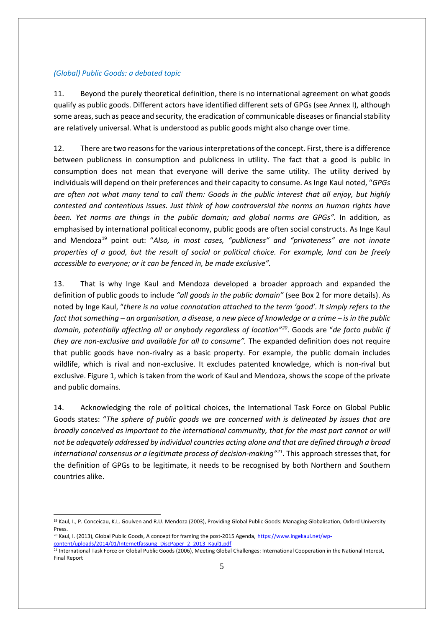## *(Global) Public Goods: a debated topic*

11. Beyond the purely theoretical definition, there is no international agreement on what goods qualify as public goods. Different actors have identified different sets of GPGs (see Annex I), although some areas, such as peace and security, the eradication of communicable diseases or financial stability are relatively universal. What is understood as public goods might also change over time.

12. There are two reasons for the various interpretations of the concept. First, there is a difference between publicness in consumption and publicness in utility. The fact that a good is public in consumption does not mean that everyone will derive the same utility. The utility derived by individuals will depend on their preferences and their capacity to consume. As Inge Kaul noted, "*GPGs are often not what many tend to call them: Goods in the public interest that all enjoy, but highly contested and contentious issues. Just think of how controversial the norms on human rights have been. Yet norms are things in the public domain; and global norms are GPGs".* In addition, as emphasised by international political economy, public goods are often social constructs. As Inge Kaul and Mendoza<sup>[19](#page-4-0)</sup> point out: "Also, in most cases, "publicness" and "privateness" are not innate *properties of a good, but the result of social or political choice. For example, land can be freely accessible to everyone; or it can be fenced in, be made exclusive".* 

13. That is why Inge Kaul and Mendoza developed a broader approach and expanded the definition of public goods to include *"all goods in the public domain"* (see Box 2 for more details). As noted by Inge Kaul, "*there is no value connotation attached to the term 'good'. It simply refers to the fact that something – an organisation, a disease, a new piece of knowledge or a crime – is in the public domain, potentially affecting all or anybody regardless of location"[20](#page-4-1)*. Goods are "*de facto public if they are non-exclusive and available for all to consume".* The expanded definition does not require that public goods have non-rivalry as a basic property. For example, the public domain includes wildlife, which is rival and non-exclusive. It excludes patented knowledge, which is non-rival but exclusive. Figure 1, which is taken from the work of Kaul and Mendoza, shows the scope of the private and public domains.

14. Acknowledging the role of political choices, the International Task Force on Global Public Goods states: "*The sphere of public goods we are concerned with is delineated by issues that are broadly conceived as important to the international community, that for the most part cannot or will not be adequately addressed by individual countries acting alone and that are defined through a broad international consensus or a legitimate process of decision-making"[21](#page-4-2).* This approach stresses that, for the definition of GPGs to be legitimate, it needs to be recognised by both Northern and Southern countries alike.

<span id="page-4-0"></span><sup>&</sup>lt;u>.</u> <sup>19</sup> Kaul, I., P. Conceicau, K.L. Goulven and R.U. Mendoza (2003), Providing Global Public Goods: Managing Globalisation, Oxford University Press.

<span id="page-4-1"></span><sup>&</sup>lt;sup>20</sup> Kaul, I. (2013), Global Public Goods, A concept for framing the post-2015 Agenda, [https://www.ingekaul.net/wp](https://www.ingekaul.net/wp-content/uploads/2014/01/Internetfassung_DiscPaper_2_2013_Kaul1.pdf)[content/uploads/2014/01/Internetfassung\\_DiscPaper\\_2\\_2013\\_Kaul1.pdf](https://www.ingekaul.net/wp-content/uploads/2014/01/Internetfassung_DiscPaper_2_2013_Kaul1.pdf)

<span id="page-4-2"></span><sup>21</sup> International Task Force on Global Public Goods (2006), Meeting Global Challenges: International Cooperation in the National Interest, Final Report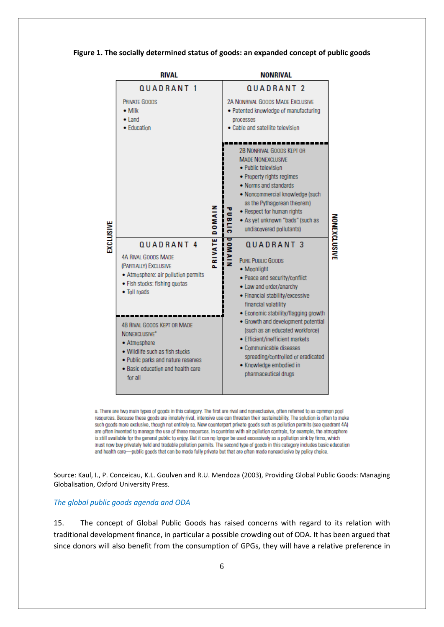|           | <b>RIVAL</b>                                                                                                                                                                                                                                                                                                                                                                    | <b>NONRIVAL</b>   |                                                                                                                                                                                                                                                                                                                                                                                                                                                                                                                                                                                                                                                                                                                                                                                                                           |  |  |
|-----------|---------------------------------------------------------------------------------------------------------------------------------------------------------------------------------------------------------------------------------------------------------------------------------------------------------------------------------------------------------------------------------|-------------------|---------------------------------------------------------------------------------------------------------------------------------------------------------------------------------------------------------------------------------------------------------------------------------------------------------------------------------------------------------------------------------------------------------------------------------------------------------------------------------------------------------------------------------------------------------------------------------------------------------------------------------------------------------------------------------------------------------------------------------------------------------------------------------------------------------------------------|--|--|
|           | QUADRANT <sub>1</sub>                                                                                                                                                                                                                                                                                                                                                           |                   | QUADRANT <sub>2</sub>                                                                                                                                                                                                                                                                                                                                                                                                                                                                                                                                                                                                                                                                                                                                                                                                     |  |  |
|           | PRIVATE GOODS<br>$\bullet$ Milk<br>$\bullet$ Land<br>• Education                                                                                                                                                                                                                                                                                                                |                   | <b>2A NONRIVAL GOODS MADE EXCLUSIVE</b><br>· Patented knowledge of manufacturing<br>processes<br>. Cable and satellite television.                                                                                                                                                                                                                                                                                                                                                                                                                                                                                                                                                                                                                                                                                        |  |  |
| EXCLUSIVE | QUADRANT <sub>4</sub><br><b>4A RIVAL GOODS MADE</b><br>(PARTIALLY) EXCLUSIVE<br>· Atmosphere: air pollution permits<br>· Fish stocks: fishing quotas<br>• Toll roads<br><b>4B RIVAL GOODS KEPT OR MADE</b><br>NONEXCLUSIVE <sup>®</sup><br>• Atmosphere<br>. Wildlife such as fish stocks<br>. Public parks and nature reserves<br>· Basic education and health care<br>for all | DOMAIN<br>PRIVATE | 2B NONRIVAL GOODS KEPT OR<br><b>MADE NONEXCLUSIVE</b><br>· Public television<br>• Property rights regimes<br>. Norms and standards<br>· Noncommercial knowledge (such<br>as the Pythagorean theorem)<br>• Respect for human rights<br><b>OBLIC</b><br><b>NONEXCLUSIVE</b><br>. As yet unknown "bads" (such as<br>undiscovered pollutants)<br><b>DOMAIN</b><br><b>QUADRANT 3</b><br><b>PURE PUBLIC GOODS</b><br>• Moonlight<br>· Peace and security/conflict<br>· Law and order/anarchy<br>· Financial stability/excessive<br>financial volatility<br>· Economic stability/flagging growth<br>· Growth and development potential<br>(such as an educated workforce)<br>• Efficient/inefficient markets<br>• Communicable diseases<br>spreading/controlled or eradicated<br>· Knowledge embodied in<br>pharmaceutical drugs |  |  |

#### **Figure 1. The socially determined status of goods: an expanded concept of public goods**

a. There are two main types of goods in this category. The first are rival and nonexclusive, often referred to as common pool resources. Because these goods are innately rival, intensive use can threaten their sustainability. The solution is often to make such goods more exclusive, though not entirely so. New counterpart private goods such as pollution permits (see quadrant 4A) are often invented to manage the use of these resources. In countries with air pollution controls, for example, the atmosphere is still available for the general public to enjoy. But it can no longer be used excessively as a pollution sink by firms, which must now buy privately held and tradable pollution permits. The second type of goods in this category includes basic education and health care-public goods that can be made fully private but that are often made nonexclusive by policy choice.

Source: Kaul, I., P. Conceicau, K.L. Goulven and R.U. Mendoza (2003), Providing Global Public Goods: Managing Globalisation, Oxford University Press.

#### *The global public goods agenda and ODA*

15. The concept of Global Public Goods has raised concerns with regard to its relation with traditional development finance, in particular a possible crowding out of ODA. It has been argued that since donors will also benefit from the consumption of GPGs, they will have a relative preference in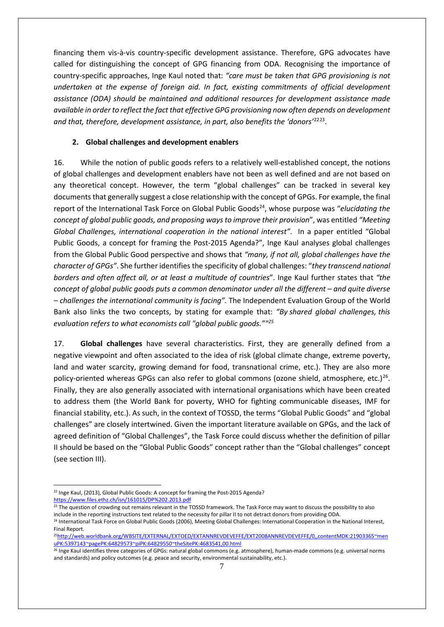financing them vis-à-vis country-specific development assistance. Therefore, GPG advocates have called for distinguishing the concept of GPG financing from ODA. Recognising the importance of country-specific approaches, Inge Kaul noted that: *"care must be taken that GPG provisioning is not undertaken at the expense of foreign aid. In fact, existing commitments of official development assistance (ODA) should be maintained and additional resources for development assistance made available in order to reflect the fact that effective GPG provisioning now often depends on development and that, therefore, development assistance, in part, also benefits the 'donors'*[22](#page-6-0)[23.](#page-6-1)

### **2. Global challenges and development enablers**

16. While the notion of public goods refers to a relatively well-established concept, the notions of global challenges and development enablers have not been as well defined and are not based on any theoretical concept. However, the term "global challenges" can be tracked in several key documents that generally suggest a close relationship with the concept of GPGs. For example, the final report of the International Task Force on Global Public Goods[24](#page-6-2), whose purpose was "*elucidating the concept of global public goods, and proposing ways to improve their provision*", was entitled *"Meeting Global Challenges, international cooperation in the national interest"*. In a paper entitled "Global Public Goods, a concept for framing the Post-2015 Agenda?", Inge Kaul analyses global challenges from the Global Public Good perspective and shows that *"many, if not all, global challenges have the character of GPGs"*. She further identifies the specificity of global challenges: "*they transcend national borders and often affect all, or at least a multitude of countries*". Inge Kaul further states that *"the concept of global public goods puts a common denominator under all the different – and quite diverse – challenges the international community is facing".* The Independent Evaluation Group of the World Bank also links the two concepts, by stating for example that: *"By shared global challenges, this evaluation refers to what economists call "global public goods.""[25](#page-6-3)*

17. **Global challenges** have several characteristics. First, they are generally defined from a negative viewpoint and often associated to the idea of risk (global climate change, extreme poverty, land and water scarcity, growing demand for food, transnational crime, etc.). They are also more policy-oriented whereas GPGs can also refer to global commons (ozone shield, atmosphere, etc.)<sup>26</sup>. Finally, they are also generally associated with international organisations which have been created to address them (the World Bank for poverty, WHO for fighting communicable diseases, IMF for financial stability, etc.). As such, in the context of TOSSD, the terms "Global Public Goods" and "global challenges" are closely intertwined. Given the important literature available on GPGs, and the lack of agreed definition of "Global Challenges", the Task Force could discuss whether the definition of pillar II should be based on the "Global Public Goods" concept rather than the "Global challenges" concept (see section III).

<span id="page-6-0"></span><sup>&</sup>lt;u>.</u> <sup>22</sup> Inge Kaul, (2013), Global Public Goods: A concept for framing the Post-2015 Agenda? <https://www.files.ethz.ch/isn/161015/DP%202.2013.pdf>

<span id="page-6-1"></span><sup>&</sup>lt;sup>23</sup> The question of crowding out remains relevant in the TOSSD framework. The Task Force may want to discuss the possibility to also include in the reporting instructions text related to the necessity for pillar II to not detract donors from providing ODA.

<span id="page-6-2"></span><sup>&</sup>lt;sup>24</sup> International Task Force on Global Public Goods (2006), Meeting Global Challenges: International Cooperation in the National Interest, Final Report.

<span id="page-6-3"></span><sup>2</sup>[5http://web.worldbank.org/WBSITE/EXTERNAL/EXTOED/EXTANNREVDEVEFFE/EXT2008ANNREVDEVEFFE/0,,contentMDK:21903365~men](http://web.worldbank.org/WBSITE/EXTERNAL/EXTOED/EXTANNREVDEVEFFE/EXT2008ANNREVDEVEFFE/0,,contentMDK:21903365%7EmenuPK:5397143%7EpagePK:64829573%7EpiPK:64829550%7EtheSitePK:4683541,00.html) [uPK:5397143~pagePK:64829573~piPK:64829550~theSitePK:4683541,00.html](http://web.worldbank.org/WBSITE/EXTERNAL/EXTOED/EXTANNREVDEVEFFE/EXT2008ANNREVDEVEFFE/0,,contentMDK:21903365%7EmenuPK:5397143%7EpagePK:64829573%7EpiPK:64829550%7EtheSitePK:4683541,00.html)

<span id="page-6-4"></span><sup>&</sup>lt;sup>26</sup> Inge Kaul identifies three categories of GPGs: natural global commons (e.g. atmosphere), human-made commons (e.g. universal norms and standards) and policy outcomes (e.g. peace and security, environmental sustainability, etc.).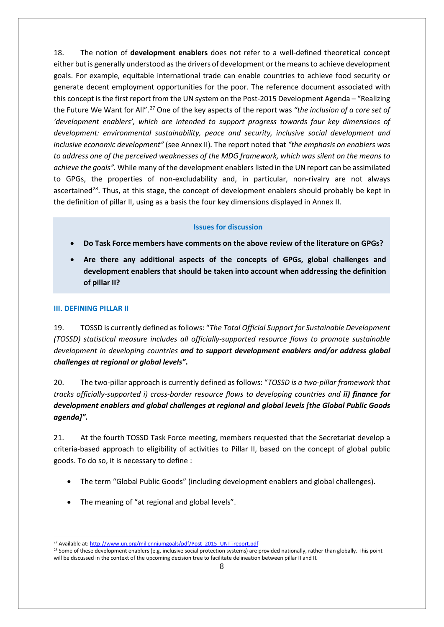18. The notion of **development enablers** does not refer to a well-defined theoretical concept either but is generally understood asthe drivers of development or the means to achieve development goals. For example, equitable international trade can enable countries to achieve food security or generate decent employment opportunities for the poor. The reference document associated with this concept is the first report from the UN system on the Post-2015 Development Agenda – "Realizing the Future We Want for All". [27](#page-7-0) One of the key aspects of the report was *"the inclusion of a core set of 'development enablers', which are intended to support progress towards four key dimensions of development: environmental sustainability, peace and security, inclusive social development and inclusive economic development"* (see Annex II)*.* The report noted that *"the emphasis on enablers was to address one of the perceived weaknesses of the MDG framework, which was silent on the means to achieve the goals".* While many of the development enablers listed in the UN report can be assimilated to GPGs, the properties of non-excludability and, in particular, non-rivalry are not always ascertained<sup>28</sup>. Thus, at this stage, the concept of development enablers should probably be kept in the definition of pillar II, using as a basis the four key dimensions displayed in Annex II.

## **Issues for discussion**

- **Do Task Force members have comments on the above review of the literature on GPGs?**
- **Are there any additional aspects of the concepts of GPGs, global challenges and development enablers that should be taken into account when addressing the definition of pillar II?**

### **III. DEFINING PILLAR II**

<u>.</u>

19. TOSSD is currently defined as follows: "*The Total Official Support for Sustainable Development (TOSSD) statistical measure includes all officially-supported resource flows to promote sustainable development in developing countries and to support development enablers and/or address global challenges at regional or global levels"***.**

20. The two-pillar approach is currently defined as follows: "*TOSSD is a two-pillar framework that tracks officially-supported i) cross-border resource flows to developing countries and ii) finance for development enablers and global challenges at regional and global levels [the Global Public Goods agenda]".*

21. At the fourth TOSSD Task Force meeting, members requested that the Secretariat develop a criteria-based approach to eligibility of activities to Pillar II, based on the concept of global public goods. To do so, it is necessary to define :

- The term "Global Public Goods" (including development enablers and global challenges).
- The meaning of "at regional and global levels".

<span id="page-7-0"></span><sup>&</sup>lt;sup>27</sup> Available at[: http://www.un.org/millenniumgoals/pdf/Post\\_2015\\_UNTTreport.pdf](http://www.un.org/millenniumgoals/pdf/Post_2015_UNTTreport.pdf)

<span id="page-7-1"></span><sup>&</sup>lt;sup>28</sup> Some of these development enablers (e.g. inclusive social protection systems) are provided nationally, rather than globally. This point will be discussed in the context of the upcoming decision tree to facilitate delineation between pillar II and II.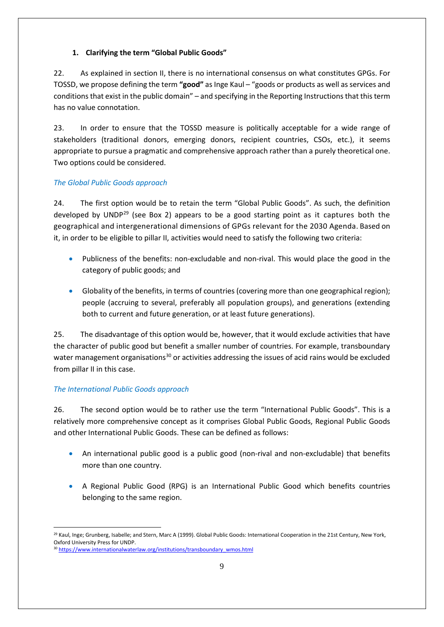## **1. Clarifying the term "Global Public Goods"**

22. As explained in section II, there is no international consensus on what constitutes GPGs. For TOSSD, we propose defining the term **"good"** as Inge Kaul – "goods or products as well as services and conditions that exist in the public domain" – and specifying in the Reporting Instructionsthat this term has no value connotation.

23. In order to ensure that the TOSSD measure is politically acceptable for a wide range of stakeholders (traditional donors, emerging donors, recipient countries, CSOs, etc.), it seems appropriate to pursue a pragmatic and comprehensive approach rather than a purely theoretical one. Two options could be considered.

## *The Global Public Goods approach*

24. The first option would be to retain the term "Global Public Goods". As such, the definition developed by UNDP<sup>[29](#page-8-0)</sup> (see Box 2) appears to be a good starting point as it captures both the geographical and intergenerational dimensions of GPGs relevant for the 2030 Agenda. Based on it, in order to be eligible to pillar II, activities would need to satisfy the following two criteria:

- Publicness of the benefits: non-excludable and non-rival. This would place the good in the category of public goods; and
- Globality of the benefits, in terms of countries (covering more than one geographical region); people (accruing to several, preferably all population groups), and generations (extending both to current and future generation, or at least future generations).

25. The disadvantage of this option would be, however, that it would exclude activities that have the character of public good but benefit a smaller number of countries. For example, transboundary water management organisations<sup>[30](#page-8-1)</sup> or activities addressing the issues of acid rains would be excluded from pillar II in this case.

## *The International Public Goods approach*

26. The second option would be to rather use the term "International Public Goods". This is a relatively more comprehensive concept as it comprises Global Public Goods, Regional Public Goods and other International Public Goods. These can be defined as follows:

- An international public good is a public good (non-rival and non-excludable) that benefits more than one country.
- A Regional Public Good (RPG) is an International Public Good which benefits countries belonging to the same region.

<span id="page-8-0"></span><sup>-</sup><sup>29</sup> Kaul, Inge; Grunberg, Isabelle; and Stern, Marc A (1999). Global Public Goods: International Cooperation in the 21st Century, New York, Oxford University Press for UNDP.

<span id="page-8-1"></span><sup>&</sup>lt;sup>30</sup> [https://www.internationalwaterlaw.org/institutions/transboundary\\_wmos.html](https://www.internationalwaterlaw.org/institutions/transboundary_wmos.html)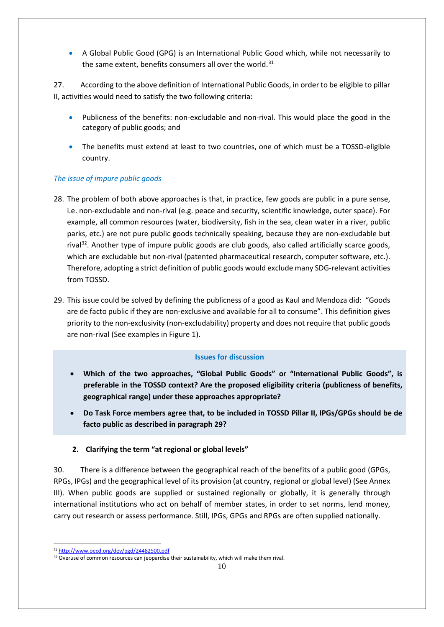• A Global Public Good (GPG) is an International Public Good which, while not necessarily to the same extent, benefits consumers all over the world.<sup>[31](#page-9-0)</sup>

27. According to the above definition of International Public Goods, in order to be eligible to pillar II, activities would need to satisfy the two following criteria:

- Publicness of the benefits: non-excludable and non-rival. This would place the good in the category of public goods; and
- The benefits must extend at least to two countries, one of which must be a TOSSD-eligible country.

## *The issue of impure public goods*

- 28. The problem of both above approaches is that, in practice, few goods are public in a pure sense, i.e. non-excludable and non-rival (e.g. peace and security, scientific knowledge, outer space). For example, all common resources (water, biodiversity, fish in the sea, clean water in a river, public parks, etc.) are not pure public goods technically speaking, because they are non-excludable but rival<sup>32</sup>. Another type of impure public goods are club goods, also called artificially scarce goods, which are excludable but non-rival (patented pharmaceutical research, computer software, etc.). Therefore, adopting a strict definition of public goods would exclude many SDG-relevant activities from TOSSD.
- 29. This issue could be solved by defining the publicness of a good as Kaul and Mendoza did: "Goods are de facto public if they are non-exclusive and available for all to consume". This definition gives priority to the non-exclusivity (non-excludability) property and does not require that public goods are non-rival (See examples in Figure 1).

## **Issues for discussion**

- **Which of the two approaches, "Global Public Goods" or "International Public Goods", is preferable in the TOSSD context? Are the proposed eligibility criteria (publicness of benefits, geographical range) under these approaches appropriate?**
- **Do Task Force members agree that, to be included in TOSSD Pillar II, IPGs/GPGs should be de facto public as described in paragraph 29?**

## **2. Clarifying the term "at regional or global levels"**

30. There is a difference between the geographical reach of the benefits of a public good (GPGs, RPGs, IPGs) and the geographical level of its provision (at country, regional or global level) (See Annex III). When public goods are supplied or sustained regionally or globally, it is generally through international institutions who act on behalf of member states, in order to set norms, lend money, carry out research or assess performance. Still, IPGs, GPGs and RPGs are often supplied nationally.

<sup>&</sup>lt;u>.</u> <sup>31</sup> <http://www.oecd.org/dev/pgd/24482500.pdf>

<span id="page-9-1"></span><span id="page-9-0"></span><sup>&</sup>lt;sup>32</sup> Overuse of common resources can jeopardise their sustainability, which will make them rival.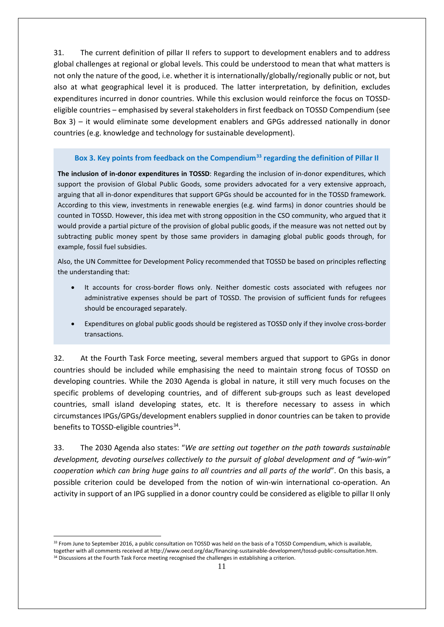31. The current definition of pillar II refers to support to development enablers and to address global challenges at regional or global levels. This could be understood to mean that what matters is not only the nature of the good, i.e. whether it is internationally/globally/regionally public or not, but also at what geographical level it is produced. The latter interpretation, by definition, excludes expenditures incurred in donor countries. While this exclusion would reinforce the focus on TOSSDeligible countries – emphasised by several stakeholders in first feedback on TOSSD Compendium (see Box 3) – it would eliminate some development enablers and GPGs addressed nationally in donor countries (e.g. knowledge and technology for sustainable development).

## **Box 3. Key points from feedback on the Compendium[33](#page-10-0) regarding the definition of Pillar II**

**The inclusion of in-donor expenditures in TOSSD**: Regarding the inclusion of in-donor expenditures, which support the provision of Global Public Goods, some providers advocated for a very extensive approach, arguing that all in-donor expenditures that support GPGs should be accounted for in the TOSSD framework. According to this view, investments in renewable energies (e.g. wind farms) in donor countries should be counted in TOSSD. However, this idea met with strong opposition in the CSO community, who argued that it would provide a partial picture of the provision of global public goods, if the measure was not netted out by subtracting public money spent by those same providers in damaging global public goods through, for example, fossil fuel subsidies.

Also, the UN Committee for Development Policy recommended that TOSSD be based on principles reflecting the understanding that:

- It accounts for cross-border flows only. Neither domestic costs associated with refugees nor administrative expenses should be part of TOSSD. The provision of sufficient funds for refugees should be encouraged separately.
- Expenditures on global public goods should be registered as TOSSD only if they involve cross-border transactions.

32. At the Fourth Task Force meeting, several members argued that support to GPGs in donor countries should be included while emphasising the need to maintain strong focus of TOSSD on developing countries. While the 2030 Agenda is global in nature, it still very much focuses on the specific problems of developing countries, and of different sub-groups such as least developed countries, small island developing states, etc. It is therefore necessary to assess in which circumstances IPGs/GPGs/development enablers supplied in donor countries can be taken to provide benefits to TOSSD-eligible countries<sup>34</sup>.

33. The 2030 Agenda also states: "*We are setting out together on the path towards sustainable development, devoting ourselves collectively to the pursuit of global development and of "win-win" cooperation which can bring huge gains to all countries and all parts of the world*". On this basis, a possible criterion could be developed from the notion of win-win international co-operation. An activity in support of an IPG supplied in a donor country could be considered as eligible to pillar II only

<u>.</u>

<span id="page-10-1"></span><span id="page-10-0"></span><sup>&</sup>lt;sup>33</sup> From June to September 2016, a public consultation on TOSSD was held on the basis of a TOSSD Compendium, which is available, together with all comments received at http://www.oecd.org/dac/financing-sustainable-development/tossd-public-consultation.htm. 34 Discussions at the Fourth Task Force meeting recognised the challenges in establishing a criterion.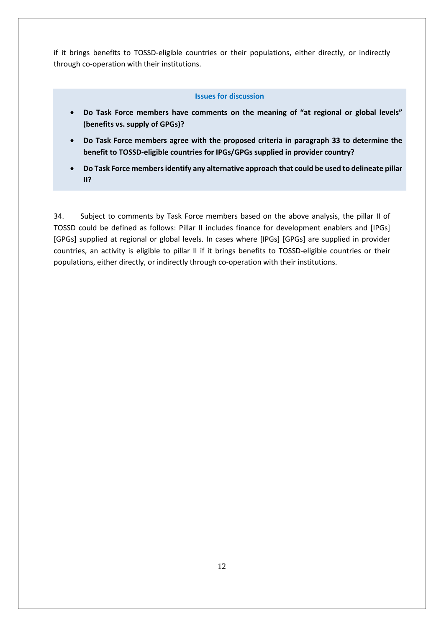if it brings benefits to TOSSD-eligible countries or their populations, either directly, or indirectly through co-operation with their institutions.

#### **Issues for discussion**

- **Do Task Force members have comments on the meaning of "at regional or global levels" (benefits vs. supply of GPGs)?**
- **Do Task Force members agree with the proposed criteria in paragraph 33 to determine the benefit to TOSSD-eligible countries for IPGs/GPGs supplied in provider country?**
- **Do Task Force members identify any alternative approach that could be used to delineate pillar II?**

34. Subject to comments by Task Force members based on the above analysis, the pillar II of TOSSD could be defined as follows: Pillar II includes finance for development enablers and [IPGs] [GPGs] supplied at regional or global levels. In cases where [IPGs] [GPGs] are supplied in provider countries, an activity is eligible to pillar II if it brings benefits to TOSSD-eligible countries or their populations, either directly, or indirectly through co-operation with their institutions.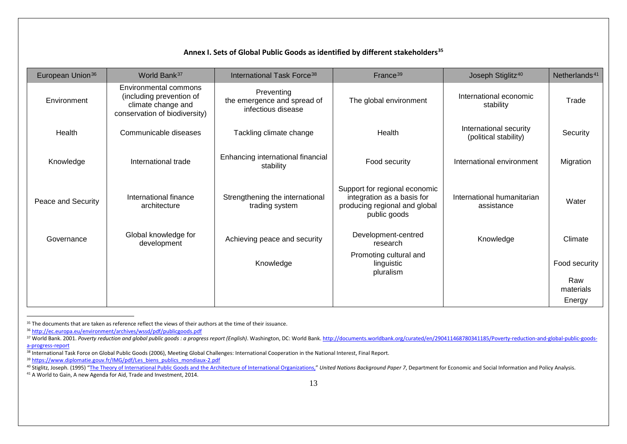### <span id="page-12-6"></span><span id="page-12-5"></span><span id="page-12-4"></span><span id="page-12-3"></span><span id="page-12-2"></span><span id="page-12-1"></span><span id="page-12-0"></span>**Annex I. Sets of Global Public Goods as identified by different stakeholders[35](#page-12-0)**

| European Union <sup>36</sup> | World Bank <sup>37</sup>                                                                                 | International Task Force <sup>38</sup>                          | France <sup>39</sup>                                                                                         | Joseph Stiglitz <sup>40</sup>                   | Netherlands <sup>41</sup> |
|------------------------------|----------------------------------------------------------------------------------------------------------|-----------------------------------------------------------------|--------------------------------------------------------------------------------------------------------------|-------------------------------------------------|---------------------------|
| Environment                  | Environmental commons<br>(including prevention of<br>climate change and<br>conservation of biodiversity) | Preventing<br>the emergence and spread of<br>infectious disease | The global environment                                                                                       | International economic<br>stability             | Trade                     |
| Health                       | Communicable diseases                                                                                    | Tackling climate change                                         | Health                                                                                                       | International security<br>(political stability) | Security                  |
| Knowledge                    | International trade                                                                                      | Enhancing international financial<br>stability                  | Food security                                                                                                | International environment                       | Migration                 |
| Peace and Security           | International finance<br>architecture                                                                    | Strengthening the international<br>trading system               | Support for regional economic<br>integration as a basis for<br>producing regional and global<br>public goods | International humanitarian<br>assistance        | Water                     |
| Governance                   | Global knowledge for<br>development                                                                      | Achieving peace and security                                    | Development-centred<br>research                                                                              | Knowledge                                       | Climate                   |
|                              |                                                                                                          | Knowledge                                                       | Promoting cultural and<br>linguistic<br>pluralism                                                            |                                                 | Food security             |
|                              |                                                                                                          |                                                                 |                                                                                                              |                                                 | Raw<br>materials          |
|                              |                                                                                                          |                                                                 |                                                                                                              |                                                 | Energy                    |

<sup>&</sup>lt;sup>35</sup> The documents that are taken as reference reflect the views of their authors at the time of their issuance.

<u>.</u>

<sup>36</sup> <http://ec.europa.eu/environment/archives/wssd/pdf/publicgoods.pdf>

<sup>&</sup>lt;sup>37</sup> World Bank. 2001. Poverty reduction and global public goods: a progress report (English). Washington, DC: World Bank. http://documents.worldbank.org/curated/en/290411468780341185/Poverty-reduction-and-global-public-go [a-progress-report](http://documents.worldbank.org/curated/en/290411468780341185/Poverty-reduction-and-global-public-goods-a-progress-report)

<sup>38</sup> International Task Force on Global Public Goods (2006), Meeting Global Challenges: International Cooperation in the National Interest, Final Report.

<sup>&</sup>lt;sup>39</sup> [https://www.diplomatie.gouv.fr/IMG/pdf/Les\\_biens\\_publics\\_mondiaux-2.pdf](https://www.diplomatie.gouv.fr/IMG/pdf/Les_biens_publics_mondiaux-2.pdf)

and Stiglitz, Joseph. (1995) ["The Theory of International Public Goods and the Architecture of International Organizations,"](https://www0.gsb.columbia.edu/faculty/jstiglitz/download/Theory_of_Intl_Public_Goods.pdf) United Nations Background Paper 7, Department for Economic and Social Information and Policy Anal

<sup>&</sup>lt;sup>41</sup> A World to Gain, A new Agenda for Aid, Trade and Investment, 2014.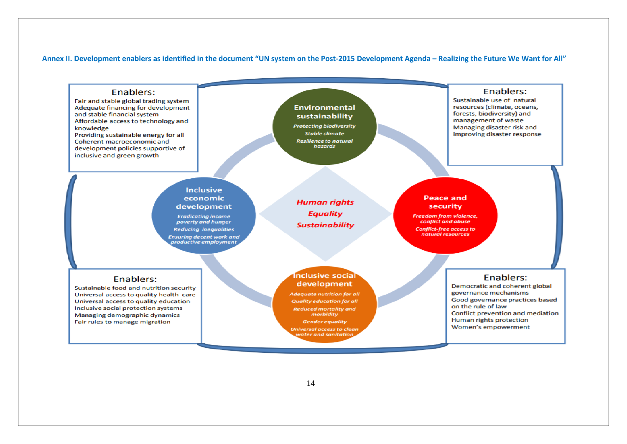#### **Annex II. Development enablers as identified in the document "UN system on the Post-2015 Development Agenda – Realizing the Future We Want for All"**